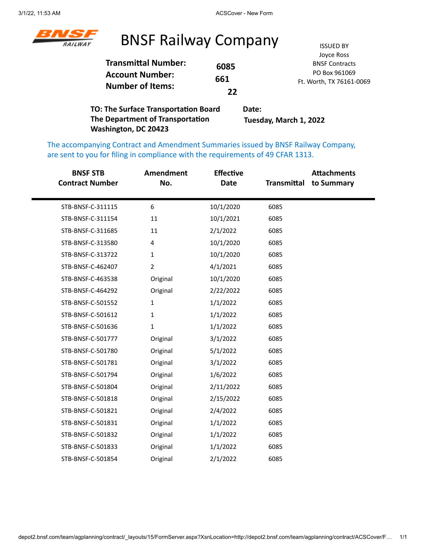

#### BNSF Railway Company ISSUED BY

|                            |      | Joyce Ross               |
|----------------------------|------|--------------------------|
| <b>Transmittal Number:</b> | 6085 | <b>BNSF Contracts</b>    |
| <b>Account Number:</b>     |      | PO Box 961069            |
|                            | 661  | Ft. Worth, TX 76161-0069 |
| <b>Number of Items:</b>    | 22   |                          |
|                            |      |                          |

**TO: The Surface Transportation Board The Department of Transportation Washington, DC 20423 Date: Tuesday, March 1, 2022**

The accompanying Contract and Amendment Summaries issued by BNSF Railway Company, are sent to you for filing in compliance with the requirements of 49 CFAR 1313.

| <b>BNSF STB</b><br><b>Contract Number</b> | <b>Amendment</b><br>No. | <b>Effective</b><br><b>Date</b> | Transmittal | <b>Attachments</b><br>to Summary |
|-------------------------------------------|-------------------------|---------------------------------|-------------|----------------------------------|
| STB-BNSF-C-311115                         | 6                       | 10/1/2020                       | 6085        |                                  |
| STB-BNSF-C-311154                         | 11                      | 10/1/2021                       | 6085        |                                  |
| STB-BNSF-C-311685                         | 11                      | 2/1/2022                        | 6085        |                                  |
| STB-BNSF-C-313580                         | 4                       | 10/1/2020                       | 6085        |                                  |
| STB-BNSF-C-313722                         | 1                       | 10/1/2020                       | 6085        |                                  |
| STB-BNSF-C-462407                         | $\overline{2}$          | 4/1/2021                        | 6085        |                                  |
| STB-BNSF-C-463538                         | Original                | 10/1/2020                       | 6085        |                                  |
| STB-BNSF-C-464292                         | Original                | 2/22/2022                       | 6085        |                                  |
| STB-BNSF-C-501552                         | 1                       | 1/1/2022                        | 6085        |                                  |
| STB-BNSF-C-501612                         | 1                       | 1/1/2022                        | 6085        |                                  |
| STB-BNSF-C-501636                         | $\mathbf 1$             | 1/1/2022                        | 6085        |                                  |
| STB-BNSF-C-501777                         | Original                | 3/1/2022                        | 6085        |                                  |
| STB-BNSF-C-501780                         | Original                | 5/1/2022                        | 6085        |                                  |
| STB-BNSF-C-501781                         | Original                | 3/1/2022                        | 6085        |                                  |
| STB-BNSF-C-501794                         | Original                | 1/6/2022                        | 6085        |                                  |
| STB-BNSF-C-501804                         | Original                | 2/11/2022                       | 6085        |                                  |
| STB-BNSF-C-501818                         | Original                | 2/15/2022                       | 6085        |                                  |
| STB-BNSF-C-501821                         | Original                | 2/4/2022                        | 6085        |                                  |
| STB-BNSF-C-501831                         | Original                | 1/1/2022                        | 6085        |                                  |
| STB-BNSF-C-501832                         | Original                | 1/1/2022                        | 6085        |                                  |
| STB-BNSF-C-501833                         | Original                | 1/1/2022                        | 6085        |                                  |
| STB-BNSF-C-501854                         | Original                | 2/1/2022                        | 6085        |                                  |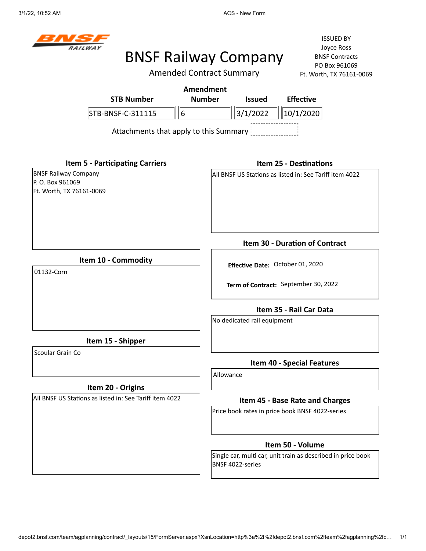

Amended Contract Summary

ISSUED BY Joyce Ross BNSF Contracts PO Box 961069  $-0069$ 

|                                                                             | Amended Contract Summary         | Ft. Worth, TX 76161-0069                                     |
|-----------------------------------------------------------------------------|----------------------------------|--------------------------------------------------------------|
|                                                                             | <b>Amendment</b>                 |                                                              |
| <b>STB Number</b>                                                           | <b>Number</b><br><b>Issued</b>   | <b>Effective</b>                                             |
| $\ 6$<br>STB-BNSF-C-311115                                                  | 3/1/2022                         | 10/1/2020                                                    |
| Attachments that apply to this Summary                                      |                                  |                                                              |
| <b>Item 5 - Participating Carriers</b>                                      |                                  | <b>Item 25 - Destinations</b>                                |
| <b>BNSF Railway Company</b><br>P. O. Box 961069<br>Ft. Worth, TX 76161-0069 |                                  | All BNSF US Stations as listed in: See Tariff item 4022      |
|                                                                             |                                  | <b>Item 30 - Duration of Contract</b>                        |
| Item 10 - Commodity<br>01132-Corn                                           | Effective Date: October 01, 2020 |                                                              |
|                                                                             |                                  | Term of Contract: September 30, 2022                         |
|                                                                             |                                  | Item 35 - Rail Car Data                                      |
|                                                                             | No dedicated rail equipment      |                                                              |
| Item 15 - Shipper                                                           |                                  |                                                              |
| Scoular Grain Co                                                            |                                  | <b>Item 40 - Special Features</b>                            |
|                                                                             | Allowance                        |                                                              |
| Item 20 - Origins                                                           |                                  |                                                              |
| All BNSF US Stations as listed in: See Tariff item 4022                     |                                  | Item 45 - Base Rate and Charges                              |
|                                                                             |                                  | Price book rates in price book BNSF 4022-series              |
|                                                                             |                                  | Item 50 - Volume                                             |
|                                                                             | BNSF 4022-series                 | Single car, multi car, unit train as described in price book |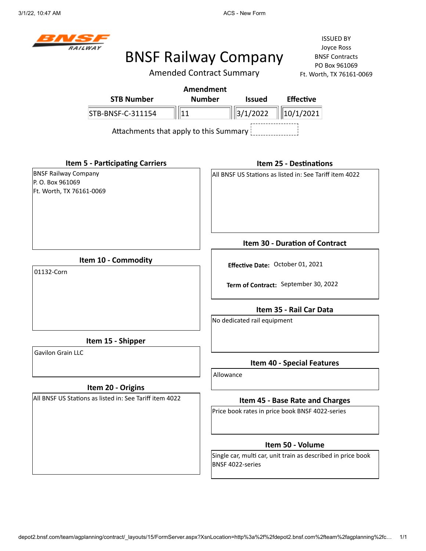

# BNSF Railway Company

Amended Contract Summary

ISSUED BY Joyce Ross BNSF Contracts PO Box 961069  $-0069$ 

|                                                                             | Amended Contract Summary |                                  | Ft. Worth, TX 76161-0069                                     |
|-----------------------------------------------------------------------------|--------------------------|----------------------------------|--------------------------------------------------------------|
|                                                                             | <b>Amendment</b>         |                                  |                                                              |
| <b>STB Number</b>                                                           | <b>Number</b>            | <b>Issued</b>                    | <b>Effective</b>                                             |
| STB-BNSF-C-311154                                                           | 11                       | 3/1/2022                         | 10/1/2021                                                    |
| Attachments that apply to this Summary                                      |                          |                                  |                                                              |
| <b>Item 5 - Participating Carriers</b>                                      |                          |                                  | <b>Item 25 - Destinations</b>                                |
| <b>BNSF Railway Company</b><br>P. O. Box 961069<br>Ft. Worth, TX 76161-0069 |                          |                                  | All BNSF US Stations as listed in: See Tariff item 4022      |
|                                                                             |                          |                                  | Item 30 - Duration of Contract                               |
| Item 10 - Commodity<br>01132-Corn                                           |                          | Effective Date: October 01, 2021 |                                                              |
|                                                                             |                          |                                  | Term of Contract: September 30, 2022                         |
|                                                                             |                          |                                  | Item 35 - Rail Car Data                                      |
|                                                                             |                          | No dedicated rail equipment      |                                                              |
| Item 15 - Shipper                                                           |                          |                                  |                                                              |
| Gavilon Grain LLC                                                           | Allowance                |                                  | <b>Item 40 - Special Features</b>                            |
| Item 20 - Origins                                                           |                          |                                  |                                                              |
| All BNSF US Stations as listed in: See Tariff item 4022                     |                          |                                  | Item 45 - Base Rate and Charges                              |
|                                                                             |                          |                                  | Price book rates in price book BNSF 4022-series              |
|                                                                             |                          |                                  | Item 50 - Volume                                             |
|                                                                             |                          | BNSF 4022-series                 | Single car, multi car, unit train as described in price book |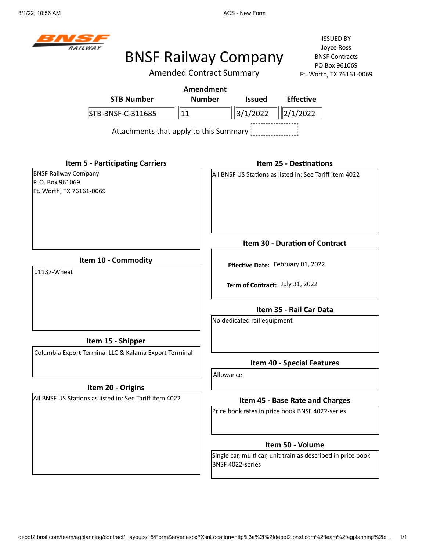

Amended Contract Summary

ISSUED BY Joyce Ross BNSF Contracts PO Box 961069 Ft. Worth, TX 76161-0069

| Amendment                              |               |                               |                  |  |  |
|----------------------------------------|---------------|-------------------------------|------------------|--|--|
| <b>STB Number</b>                      | <b>Number</b> | <b>Issued</b>                 | <b>Effective</b> |  |  |
| STB-BNSF-C-311685                      |               | $\ \ 3/1/2022\  \ 2/1/2022\ $ |                  |  |  |
| Attachments that apply to this Summary |               |                               |                  |  |  |

**Item 5 - Participating Carriers**

BNSF Railway Company P. O. Box 961069 Ft. Worth, TX 76161-0069

#### **Item 25 - Destinations**

All BNSF US Stations as listed in: See Tariff item 4022

**Item 10 - Commodity**

01137-Wheat

#### **Item 15 - Shipper**

Columbia Export Terminal LLC & Kalama Export Terminal

#### **Item 20 - Origins**

All BNSF US Stations as listed in: See Tariff item 4022

**Item 30 - Duration of Contract**

**Effective Date:** February 01, 2022

**Term of Contract:** July 31, 2022

**Item 35 - Rail Car Data**

No dedicated rail equipment

#### **Item 40 - Special Features**

Allowance

#### **Item 45 - Base Rate and Charges**

Price book rates in price book BNSF 4022-series

#### **Item 50 - Volume**

Single car, multi car, unit train as described in price book BNSF 4022-series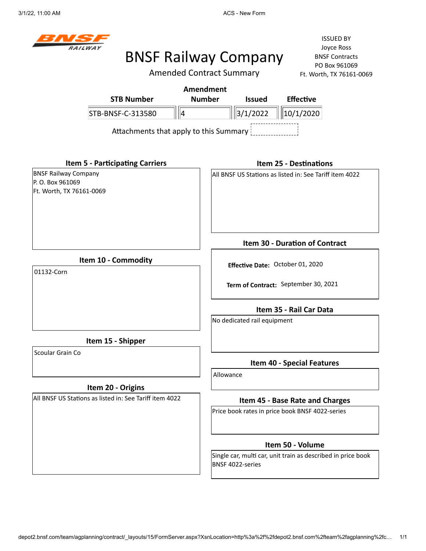

# BNSF Railway Company

Amended Contract Summary

| <b>STB Number</b>                                       |                                        | <b>Amendment</b><br><b>Number</b> | <b>Issued</b>                    | <b>Effective</b>                                             |  |
|---------------------------------------------------------|----------------------------------------|-----------------------------------|----------------------------------|--------------------------------------------------------------|--|
|                                                         |                                        |                                   |                                  |                                                              |  |
| STB-BNSF-C-313580                                       | ∥∥4                                    |                                   | 3/1/2022                         | 10/1/2020                                                    |  |
|                                                         | Attachments that apply to this Summary |                                   |                                  |                                                              |  |
| <b>Item 5 - Participating Carriers</b>                  |                                        |                                   |                                  | <b>Item 25 - Destinations</b>                                |  |
| <b>BNSF Railway Company</b>                             |                                        |                                   |                                  | All BNSF US Stations as listed in: See Tariff item 4022      |  |
| P.O. Box 961069                                         |                                        |                                   |                                  |                                                              |  |
| Ft. Worth, TX 76161-0069                                |                                        |                                   |                                  |                                                              |  |
|                                                         |                                        |                                   |                                  |                                                              |  |
|                                                         |                                        |                                   |                                  | Item 30 - Duration of Contract                               |  |
| Item 10 - Commodity                                     |                                        |                                   |                                  |                                                              |  |
| 01132-Corn                                              |                                        |                                   | Effective Date: October 01, 2020 |                                                              |  |
|                                                         |                                        |                                   |                                  | Term of Contract: September 30, 2021                         |  |
|                                                         |                                        |                                   |                                  | Item 35 - Rail Car Data                                      |  |
|                                                         |                                        |                                   | No dedicated rail equipment      |                                                              |  |
| Item 15 - Shipper                                       |                                        |                                   |                                  |                                                              |  |
| Scoular Grain Co                                        |                                        |                                   |                                  | <b>Item 40 - Special Features</b>                            |  |
|                                                         |                                        | Allowance                         |                                  |                                                              |  |
| Item 20 - Origins                                       |                                        |                                   |                                  |                                                              |  |
| All BNSF US Stations as listed in: See Tariff item 4022 |                                        |                                   |                                  | Item 45 - Base Rate and Charges                              |  |
|                                                         |                                        |                                   |                                  | Price book rates in price book BNSF 4022-series              |  |
|                                                         |                                        |                                   |                                  | Item 50 - Volume                                             |  |
|                                                         |                                        |                                   | BNSF 4022-series                 | Single car, multi car, unit train as described in price book |  |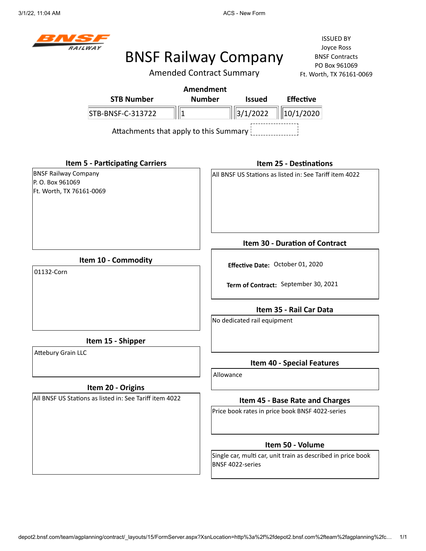

Amended Contract Summary

ISSUED BY Joyce Ross BNSF Contracts PO Box 961069 Ft. Worth, TX 76161-0069

|                             |                                        |   | Amendment     |               |                                                         |  |
|-----------------------------|----------------------------------------|---|---------------|---------------|---------------------------------------------------------|--|
|                             | <b>STB Number</b>                      |   | <b>Number</b> | <b>Issued</b> | <b>Effective</b>                                        |  |
|                             | STB-BNSF-C-313722                      | 1 |               | 3/1/2022      | 10/1/2020                                               |  |
|                             | Attachments that apply to this Summary |   |               |               |                                                         |  |
|                             | <b>Item 5 - Participating Carriers</b> |   |               |               | <b>Item 25 - Destinations</b>                           |  |
| <b>BNSF Railway Company</b> |                                        |   |               |               | All BNSF US Stations as listed in: See Tariff item 4022 |  |
| P.O. Box 961069             |                                        |   |               |               |                                                         |  |
| Ft. Worth, TX 76161-0069    |                                        |   |               |               |                                                         |  |
|                             |                                        |   |               |               | <b>Item 30 - Duration of Contract</b>                   |  |
|                             | Item 10 - Commodity                    |   |               |               | Effective Date: October 01, 2020                        |  |
| 01132-Corn                  |                                        |   |               |               | Term of Contract: September 30, 2021                    |  |

**Item 35 - Rail Car Data**

No dedicated rail equipment

**Item 15 - Shipper**

Attebury Grain LLC

#### **Item 20 - Origins**

All BNSF US Stations as listed in: See Tariff item 4022

**Item 40 - Special Features**

Allowance

#### **Item 45 - Base Rate and Charges**

Price book rates in price book BNSF 4022-series

#### **Item 50 - Volume**

Single car, multi car, unit train as described in price book BNSF 4022-series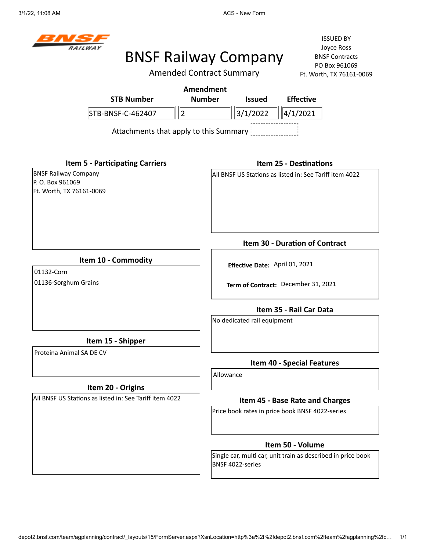

### BNSF Railway Company

ISSUED BY Joyce Ross BNSF Contracts PO Box 961069 161-0069

|                                                                            |                                        | <b>Amended Contract Summary</b> |                  |                                |                                                         | Ft. Worth, TX 76161-0 |
|----------------------------------------------------------------------------|----------------------------------------|---------------------------------|------------------|--------------------------------|---------------------------------------------------------|-----------------------|
|                                                                            |                                        |                                 | <b>Amendment</b> |                                |                                                         |                       |
|                                                                            | <b>STB Number</b>                      |                                 | <b>Number</b>    | <b>Issued</b>                  | <b>Effective</b>                                        |                       |
|                                                                            | STB-BNSF-C-462407                      | $\parallel$ <sub>2</sub>        |                  | 3/1/2022                       | 4/1/2021                                                |                       |
|                                                                            | Attachments that apply to this Summary |                                 |                  |                                |                                                         |                       |
|                                                                            | <b>Item 5 - Participating Carriers</b> |                                 |                  |                                | <b>Item 25 - Destinations</b>                           |                       |
| <b>BNSF Railway Company</b><br>P.O. Box 961069<br>Ft. Worth, TX 76161-0069 |                                        |                                 |                  |                                | All BNSF US Stations as listed in: See Tariff item 4022 |                       |
|                                                                            |                                        |                                 |                  |                                | Item 30 - Duration of Contract                          |                       |
| 01132-Corn                                                                 | Item 10 - Commodity                    |                                 |                  | Effective Date: April 01, 2021 |                                                         |                       |
| 01136-Sorghum Grains                                                       |                                        |                                 |                  |                                | Term of Contract: December 31, 2021                     |                       |
|                                                                            |                                        |                                 |                  |                                | Item 35 - Rail Car Data                                 |                       |
|                                                                            |                                        |                                 |                  | No dedicated rail equipment    |                                                         |                       |
|                                                                            | Item 15 - Shipper                      |                                 |                  |                                |                                                         |                       |
| Proteina Animal SA DE CV                                                   |                                        |                                 |                  |                                | <b>Item 40 - Special Features</b>                       |                       |
|                                                                            |                                        |                                 | Allowance        |                                |                                                         |                       |

#### **Item 20 - Origins**

All BNSF US Stations as listed in: See Tariff item 4022

#### **Item 45 - Base Rate and Charges**

Price book rates in price book BNSF 4022-series

#### **Item 50 - Volume**

Single car, multi car, unit train as described in price book BNSF 4022-series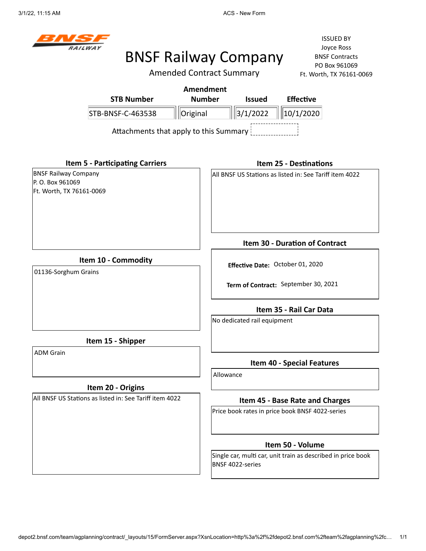

Amended Contract Summary

ISSUED BY Joyce Ross BNSF Contracts PO Box 961069 Ft. Worth, TX 76161-0069

|                                                                            | <b>STB Number</b>                                                            | <b>Amendment</b><br><b>Number</b> |                                                                          | <b>Issued</b>               | <b>Effective</b>                                             |
|----------------------------------------------------------------------------|------------------------------------------------------------------------------|-----------------------------------|--------------------------------------------------------------------------|-----------------------------|--------------------------------------------------------------|
|                                                                            | STB-BNSF-C-463538                                                            | Original                          |                                                                          | 3/1/2022                    | 10/1/2020                                                    |
|                                                                            | Attachments that apply to this Summary                                       |                                   |                                                                          |                             |                                                              |
|                                                                            | <b>Item 5 - Participating Carriers</b>                                       |                                   |                                                                          |                             | <b>Item 25 - Destinations</b>                                |
| <b>BNSF Railway Company</b><br>P.O. Box 961069<br>Ft. Worth, TX 76161-0069 |                                                                              |                                   |                                                                          |                             | All BNSF US Stations as listed in: See Tariff item 4022      |
|                                                                            |                                                                              |                                   |                                                                          |                             | Item 30 - Duration of Contract                               |
| Item 10 - Commodity<br>01136-Sorghum Grains                                |                                                                              |                                   | Effective Date: October 01, 2020<br>Term of Contract: September 30, 2021 |                             |                                                              |
|                                                                            |                                                                              |                                   |                                                                          |                             | Item 35 - Rail Car Data                                      |
|                                                                            |                                                                              |                                   |                                                                          | No dedicated rail equipment |                                                              |
|                                                                            | Item 15 - Shipper                                                            |                                   |                                                                          |                             |                                                              |
| <b>ADM Grain</b>                                                           |                                                                              |                                   |                                                                          |                             | <b>Item 40 - Special Features</b>                            |
|                                                                            |                                                                              |                                   | Allowance                                                                |                             |                                                              |
|                                                                            | Item 20 - Origins<br>All BNSF US Stations as listed in: See Tariff item 4022 |                                   |                                                                          |                             | Item 45 - Base Rate and Charges                              |
|                                                                            |                                                                              |                                   |                                                                          |                             | Price book rates in price book BNSF 4022-series              |
|                                                                            |                                                                              |                                   |                                                                          |                             | Item 50 - Volume                                             |
|                                                                            |                                                                              |                                   |                                                                          | BNSF 4022-series            | Single car, multi car, unit train as described in price book |

depot2.bnsf.com/team/agplanning/contract/\_layouts/15/FormServer.aspx?XsnLocation=http%3a%2f%2fdepot2.bnsf.com%2fteam%2fagplanning%2fc… 1/1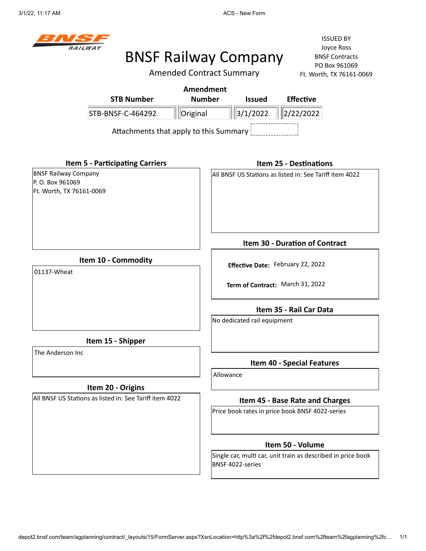

Amended Contract Summary

|                                                                             | <b>STB Number</b>                                       | <b>Amendment</b><br><b>Number</b> |           | <b>Issued</b>               | <b>Effective</b>                                                      |
|-----------------------------------------------------------------------------|---------------------------------------------------------|-----------------------------------|-----------|-----------------------------|-----------------------------------------------------------------------|
|                                                                             | STB-BNSF-C-464292                                       | Original                          |           | 3/1/2022                    | $\ 2/22/2022\ $                                                       |
|                                                                             | Attachments that apply to this Summary                  |                                   |           |                             |                                                                       |
|                                                                             | <b>Item 5 - Participating Carriers</b>                  |                                   |           |                             | <b>Item 25 - Destinations</b>                                         |
| <b>BNSF Railway Company</b><br>P. O. Box 961069<br>Ft. Worth, TX 76161-0069 |                                                         |                                   |           |                             | All BNSF US Stations as listed in: See Tariff item 4022               |
|                                                                             |                                                         |                                   |           |                             | Item 30 - Duration of Contract                                        |
| 01137-Wheat                                                                 | Item 10 - Commodity                                     |                                   |           |                             | Effective Date: February 22, 2022<br>Term of Contract: March 31, 2022 |
|                                                                             |                                                         |                                   |           | No dedicated rail equipment | Item 35 - Rail Car Data                                               |
|                                                                             | Item 15 - Shipper                                       |                                   |           |                             |                                                                       |
| The Anderson Inc                                                            |                                                         |                                   |           |                             | <b>Item 40 - Special Features</b>                                     |
|                                                                             | Item 20 - Origins                                       |                                   | Allowance |                             |                                                                       |
|                                                                             | All BNSF US Stations as listed in: See Tariff item 4022 |                                   |           |                             | Item 45 - Base Rate and Charges                                       |
|                                                                             |                                                         |                                   |           |                             | Price book rates in price book BNSF 4022-series                       |
|                                                                             |                                                         |                                   |           |                             | Item 50 - Volume                                                      |
|                                                                             |                                                         |                                   |           | BNSF 4022-series            | Single car, multi car, unit train as described in price book          |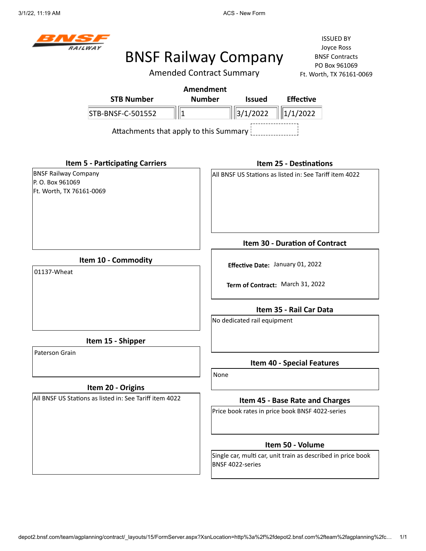

ISSUED BY Joyce Ross BNSF Contracts PO Box 961069  $-0069$ 

|                                                         | <b>Amended Contract Summary</b><br>Ft. Worth, TX 76161-0               |
|---------------------------------------------------------|------------------------------------------------------------------------|
| <b>STB Number</b>                                       | <b>Amendment</b><br><b>Number</b><br><b>Effective</b><br><b>Issued</b> |
|                                                         |                                                                        |
| $\parallel$ 1<br>STB-BNSF-C-501552                      | 3/1/2022<br>1/1/2022                                                   |
| Attachments that apply to this Summary                  |                                                                        |
| <b>Item 5 - Participating Carriers</b>                  | <b>Item 25 - Destinations</b>                                          |
| <b>BNSF Railway Company</b>                             | All BNSF US Stations as listed in: See Tariff item 4022                |
| P. O. Box 961069<br>Ft. Worth, TX 76161-0069            |                                                                        |
|                                                         |                                                                        |
|                                                         |                                                                        |
|                                                         |                                                                        |
|                                                         |                                                                        |
|                                                         | Item 30 - Duration of Contract                                         |
| Item 10 - Commodity                                     |                                                                        |
| 01137-Wheat                                             | Effective Date: January 01, 2022                                       |
|                                                         | Term of Contract: March 31, 2022                                       |
|                                                         | Item 35 - Rail Car Data                                                |
|                                                         | No dedicated rail equipment                                            |
| Item 15 - Shipper                                       |                                                                        |
| Paterson Grain                                          | <b>Item 40 - Special Features</b>                                      |
|                                                         | None                                                                   |
| Item 20 - Origins                                       |                                                                        |
| All BNSF US Stations as listed in: See Tariff item 4022 | Item 45 - Base Rate and Charges                                        |
|                                                         | Price book rates in price book BNSF 4022-series                        |
|                                                         | Item 50 - Volume                                                       |

Single car, multi car, unit train as described in price book BNSF 4022-series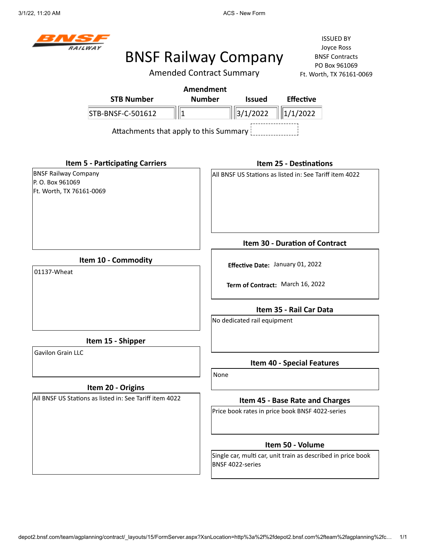

# BNSF Railway Company

Amended Contract Summary

ISSUED BY Joyce Ross BNSF Contracts PO Box 961069 069

|                                                                            | Amended Contract Summary         | Ft. Worth, TX 76161-0069                                     |  |  |
|----------------------------------------------------------------------------|----------------------------------|--------------------------------------------------------------|--|--|
|                                                                            | <b>Amendment</b>                 |                                                              |  |  |
| <b>STB Number</b>                                                          | <b>Number</b><br><b>Issued</b>   | <b>Effective</b>                                             |  |  |
| STB-BNSF-C-501612<br> 1                                                    | 3/1/2022                         | 1/1/2022                                                     |  |  |
| Attachments that apply to this Summary                                     |                                  |                                                              |  |  |
| <b>Item 5 - Participating Carriers</b>                                     |                                  | <b>Item 25 - Destinations</b>                                |  |  |
| <b>BNSF Railway Company</b><br>P.O. Box 961069<br>Ft. Worth, TX 76161-0069 |                                  | All BNSF US Stations as listed in: See Tariff item 4022      |  |  |
|                                                                            |                                  | <b>Item 30 - Duration of Contract</b>                        |  |  |
| Item 10 - Commodity                                                        |                                  | Effective Date: January 01, 2022                             |  |  |
| 01137-Wheat                                                                | Term of Contract: March 16, 2022 |                                                              |  |  |
|                                                                            |                                  | Item 35 - Rail Car Data                                      |  |  |
|                                                                            | No dedicated rail equipment      |                                                              |  |  |
| Item 15 - Shipper                                                          |                                  |                                                              |  |  |
| Gavilon Grain LLC                                                          |                                  | <b>Item 40 - Special Features</b>                            |  |  |
|                                                                            | None                             |                                                              |  |  |
| Item 20 - Origins                                                          |                                  |                                                              |  |  |
| All BNSF US Stations as listed in: See Tariff item 4022                    |                                  | Item 45 - Base Rate and Charges                              |  |  |
|                                                                            |                                  | Price book rates in price book BNSF 4022-series              |  |  |
|                                                                            |                                  | Item 50 - Volume                                             |  |  |
|                                                                            | BNSF 4022-series                 | Single car, multi car, unit train as described in price book |  |  |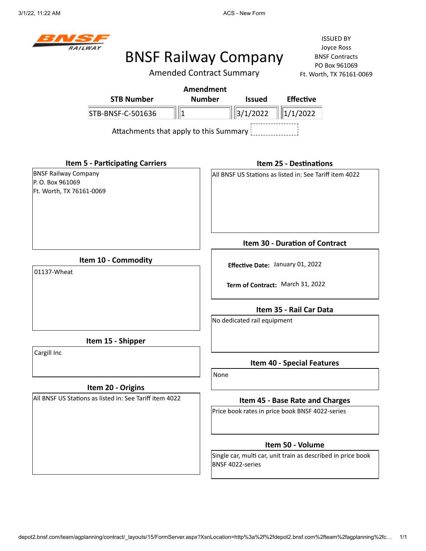

ISSUED BY Joyce Ross BNSF Contracts PO Box 961069  $-0069$ 

|                                                                             | <b>Amended Contract Summary</b><br>Ft. Worth, TX 76161-0069                        |
|-----------------------------------------------------------------------------|------------------------------------------------------------------------------------|
|                                                                             | <b>Amendment</b>                                                                   |
| <b>STB Number</b>                                                           | <b>Number</b><br><b>Effective</b><br><b>Issued</b>                                 |
| STB-BNSF-C-501636                                                           | 3/1/2022<br>1/1/2022<br>∥1                                                         |
|                                                                             | Attachments that apply to this Summary                                             |
| <b>Item 5 - Participating Carriers</b>                                      | <b>Item 25 - Destinations</b>                                                      |
| <b>BNSF Railway Company</b><br>P. O. Box 961069<br>Ft. Worth, TX 76161-0069 | All BNSF US Stations as listed in: See Tariff item 4022                            |
|                                                                             | Item 30 - Duration of Contract                                                     |
| Item 10 - Commodity<br>01137-Wheat                                          | Effective Date: January 01, 2022                                                   |
|                                                                             | Term of Contract: March 31, 2022                                                   |
|                                                                             | Item 35 - Rail Car Data                                                            |
|                                                                             | No dedicated rail equipment                                                        |
| Item 15 - Shipper                                                           |                                                                                    |
| Cargill Inc                                                                 | <b>Item 40 - Special Features</b>                                                  |
| Item 20 - Origins                                                           | None                                                                               |
| All BNSF US Stations as listed in: See Tariff item 4022                     |                                                                                    |
|                                                                             | Item 45 - Base Rate and Charges<br>Price book rates in price book BNSF 4022-series |
|                                                                             | Item 50 - Volume                                                                   |
|                                                                             | Single car, multi car, unit train as described in price book<br>BNSF 4022-series   |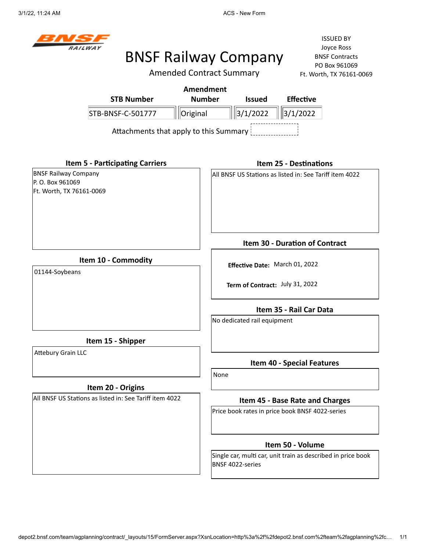

Amended Contract Summary

|                                                                            | <b>Amendment</b>                                                                 |
|----------------------------------------------------------------------------|----------------------------------------------------------------------------------|
| <b>STB Number</b>                                                          | <b>Number</b><br><b>Effective</b><br><b>Issued</b>                               |
| STB-BNSF-C-501777                                                          | 3/1/2022<br>3/1/2022<br>Original                                                 |
| Attachments that apply to this Summary                                     |                                                                                  |
| <b>Item 5 - Participating Carriers</b>                                     | <b>Item 25 - Destinations</b>                                                    |
| <b>BNSF Railway Company</b><br>P.O. Box 961069<br>Ft. Worth, TX 76161-0069 | All BNSF US Stations as listed in: See Tariff item 4022                          |
|                                                                            | <b>Item 30 - Duration of Contract</b>                                            |
| Item 10 - Commodity<br>01144-Soybeans                                      | Effective Date: March 01, 2022                                                   |
|                                                                            | Term of Contract: July 31, 2022                                                  |
|                                                                            | Item 35 - Rail Car Data                                                          |
|                                                                            | No dedicated rail equipment                                                      |
| Item 15 - Shipper                                                          |                                                                                  |
| <b>Attebury Grain LLC</b>                                                  | Item 40 - Special Features                                                       |
| Item 20 - Origins                                                          | None                                                                             |
| All BNSF US Stations as listed in: See Tariff item 4022                    | Item 45 - Base Rate and Charges                                                  |
|                                                                            | Price book rates in price book BNSF 4022-series                                  |
|                                                                            | Item 50 - Volume                                                                 |
|                                                                            | Single car, multi car, unit train as described in price book<br>BNSF 4022-series |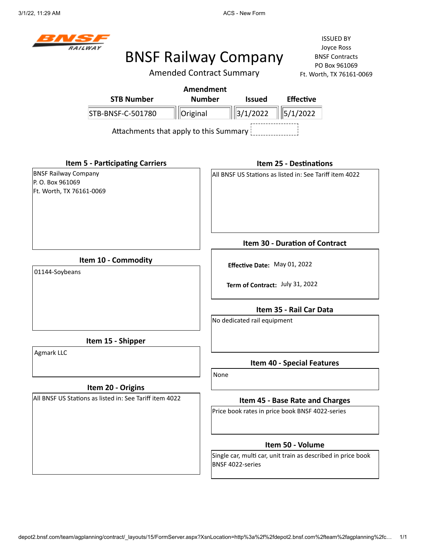# BNSF Railway Company

Amended Contract Summary

|                                                                            |                                                         | <b>Amendment</b>             |      |                             |                                                         |                                                              |
|----------------------------------------------------------------------------|---------------------------------------------------------|------------------------------|------|-----------------------------|---------------------------------------------------------|--------------------------------------------------------------|
|                                                                            | <b>STB Number</b>                                       | <b>Number</b>                |      | <b>Issued</b>               | <b>Effective</b>                                        |                                                              |
|                                                                            | STB-BNSF-C-501780                                       | Original                     |      | 3/1/2022                    | 5/1/2022                                                |                                                              |
|                                                                            | Attachments that apply to this Summary                  |                              |      |                             |                                                         |                                                              |
|                                                                            | <b>Item 5 - Participating Carriers</b>                  |                              |      |                             | <b>Item 25 - Destinations</b>                           |                                                              |
| <b>BNSF Railway Company</b><br>P.O. Box 961069<br>Ft. Worth, TX 76161-0069 |                                                         |                              |      |                             | All BNSF US Stations as listed in: See Tariff item 4022 |                                                              |
|                                                                            |                                                         |                              |      |                             | Item 30 - Duration of Contract                          |                                                              |
| 01144-Soybeans                                                             | Item 10 - Commodity                                     | Effective Date: May 01, 2022 |      |                             |                                                         |                                                              |
|                                                                            |                                                         |                              |      |                             | Term of Contract: July 31, 2022                         |                                                              |
|                                                                            |                                                         |                              |      |                             | Item 35 - Rail Car Data                                 |                                                              |
|                                                                            |                                                         |                              |      | No dedicated rail equipment |                                                         |                                                              |
|                                                                            | Item 15 - Shipper                                       |                              |      |                             |                                                         |                                                              |
| Agmark LLC                                                                 |                                                         |                              |      |                             | <b>Item 40 - Special Features</b>                       |                                                              |
|                                                                            |                                                         |                              | None |                             |                                                         |                                                              |
|                                                                            | Item 20 - Origins                                       |                              |      |                             |                                                         |                                                              |
|                                                                            | All BNSF US Stations as listed in: See Tariff item 4022 |                              |      |                             | Item 45 - Base Rate and Charges                         |                                                              |
|                                                                            |                                                         |                              |      |                             | Price book rates in price book BNSF 4022-series         |                                                              |
|                                                                            |                                                         |                              |      |                             | Item 50 - Volume                                        |                                                              |
|                                                                            |                                                         |                              |      | BNSF 4022-series            |                                                         | Single car, multi car, unit train as described in price book |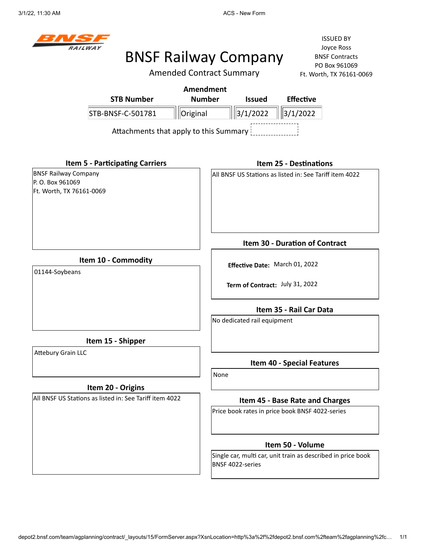# BNSF Railway Company

Amended Contract Summary

|                                                                             |                                        | <b>Amendment</b> |                         |                                                                   |                                                              |  |
|-----------------------------------------------------------------------------|----------------------------------------|------------------|-------------------------|-------------------------------------------------------------------|--------------------------------------------------------------|--|
|                                                                             | <b>STB Number</b>                      | <b>Number</b>    |                         | <b>Issued</b>                                                     | <b>Effective</b>                                             |  |
|                                                                             | STB-BNSF-C-501781                      | Original         |                         | $\ \ $ 3/1/2022                                                   | 3/1/2022                                                     |  |
|                                                                             | Attachments that apply to this Summary |                  |                         |                                                                   |                                                              |  |
|                                                                             | <b>Item 5 - Participating Carriers</b> |                  |                         |                                                                   | <b>Item 25 - Destinations</b>                                |  |
| <b>BNSF Railway Company</b><br>P. O. Box 961069<br>Ft. Worth, TX 76161-0069 |                                        |                  |                         |                                                                   | All BNSF US Stations as listed in: See Tariff item 4022      |  |
|                                                                             |                                        |                  |                         |                                                                   | <b>Item 30 - Duration of Contract</b>                        |  |
| Item 10 - Commodity<br>01144-Soybeans                                       |                                        |                  |                         | Effective Date: March 01, 2022<br>Term of Contract: July 31, 2022 |                                                              |  |
|                                                                             |                                        |                  | Item 35 - Rail Car Data |                                                                   |                                                              |  |
|                                                                             |                                        |                  |                         | No dedicated rail equipment                                       |                                                              |  |
|                                                                             | Item 15 - Shipper                      |                  |                         |                                                                   |                                                              |  |
| <b>Attebury Grain LLC</b>                                                   |                                        |                  |                         |                                                                   | Item 40 - Special Features                                   |  |
|                                                                             |                                        |                  | None                    |                                                                   |                                                              |  |
| All BNSF US Stations as listed in: See Tariff item 4022                     | Item 20 - Origins                      |                  |                         |                                                                   | Item 45 - Base Rate and Charges                              |  |
|                                                                             |                                        |                  |                         |                                                                   | Price book rates in price book BNSF 4022-series              |  |
|                                                                             |                                        |                  |                         |                                                                   | Item 50 - Volume                                             |  |
|                                                                             |                                        |                  |                         | BNSF 4022-series                                                  | Single car, multi car, unit train as described in price book |  |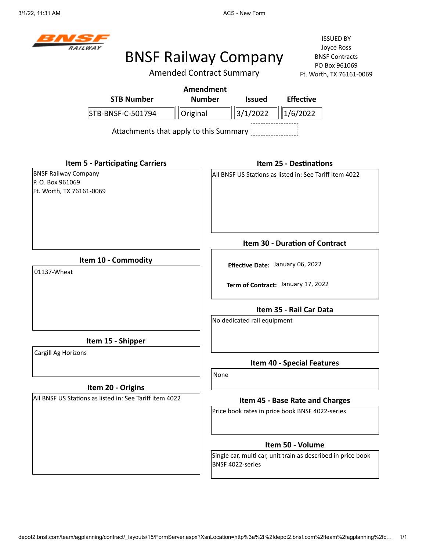

Amended Contract Summary

|                                                                             |                                                             | <b>Amendment</b> |      |                             |                                                         |                                                              |
|-----------------------------------------------------------------------------|-------------------------------------------------------------|------------------|------|-----------------------------|---------------------------------------------------------|--------------------------------------------------------------|
|                                                                             | <b>STB Number</b>                                           | <b>Number</b>    |      | <b>Issued</b>               | <b>Effective</b>                                        |                                                              |
|                                                                             | STB-BNSF-C-501794<br>Attachments that apply to this Summary | Original         |      | 3/1/2022                    | 1/6/2022                                                |                                                              |
|                                                                             | <b>Item 5 - Participating Carriers</b>                      |                  |      |                             | <b>Item 25 - Destinations</b>                           |                                                              |
| <b>BNSF Railway Company</b><br>P. O. Box 961069<br>Ft. Worth, TX 76161-0069 |                                                             |                  |      |                             | All BNSF US Stations as listed in: See Tariff item 4022 |                                                              |
|                                                                             |                                                             |                  |      |                             | Item 30 - Duration of Contract                          |                                                              |
| Item 10 - Commodity<br>01137-Wheat                                          |                                                             |                  |      |                             | Effective Date: January 06, 2022                        |                                                              |
|                                                                             |                                                             |                  |      |                             | Term of Contract: January 17, 2022                      |                                                              |
|                                                                             |                                                             |                  |      | No dedicated rail equipment | Item 35 - Rail Car Data                                 |                                                              |
|                                                                             | Item 15 - Shipper                                           |                  |      |                             |                                                         |                                                              |
| Cargill Ag Horizons                                                         |                                                             |                  |      |                             | Item 40 - Special Features                              |                                                              |
|                                                                             | Item 20 - Origins                                           |                  | None |                             |                                                         |                                                              |
|                                                                             | All BNSF US Stations as listed in: See Tariff item 4022     |                  |      |                             | Item 45 - Base Rate and Charges                         |                                                              |
|                                                                             |                                                             |                  |      |                             | Price book rates in price book BNSF 4022-series         |                                                              |
|                                                                             |                                                             |                  |      |                             | Item 50 - Volume                                        |                                                              |
|                                                                             |                                                             |                  |      | BNSF 4022-series            |                                                         | Single car, multi car, unit train as described in price book |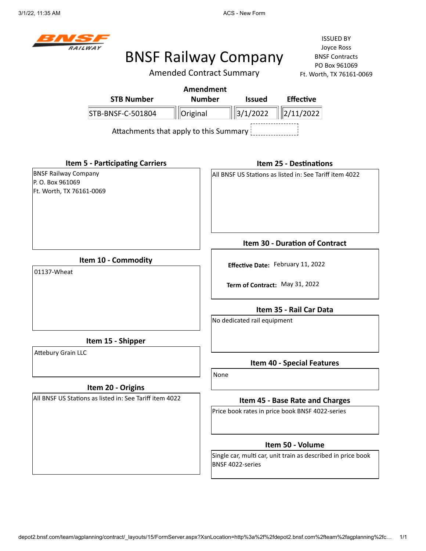# BNSF Railway Company

Amended Contract Summary

|                                                                             | <b>Amendment</b>                       |                         |                             |                                                              |  |
|-----------------------------------------------------------------------------|----------------------------------------|-------------------------|-----------------------------|--------------------------------------------------------------|--|
| <b>STB Number</b>                                                           | <b>Number</b>                          |                         | <b>Issued</b>               | <b>Effective</b>                                             |  |
| STB-BNSF-C-501804                                                           | Original                               |                         | $\ 3/1/2022\ $              | 2/11/2022                                                    |  |
|                                                                             | Attachments that apply to this Summary |                         |                             |                                                              |  |
| <b>Item 5 - Participating Carriers</b>                                      |                                        |                         |                             | <b>Item 25 - Destinations</b>                                |  |
| <b>BNSF Railway Company</b><br>P. O. Box 961069<br>Ft. Worth, TX 76161-0069 |                                        |                         |                             | All BNSF US Stations as listed in: See Tariff item 4022      |  |
|                                                                             |                                        |                         |                             | Item 30 - Duration of Contract                               |  |
| Item 10 - Commodity<br>01137-Wheat                                          |                                        |                         |                             | Effective Date: February 11, 2022                            |  |
|                                                                             |                                        |                         |                             | Term of Contract: May 31, 2022                               |  |
|                                                                             |                                        | Item 35 - Rail Car Data |                             |                                                              |  |
|                                                                             |                                        |                         | No dedicated rail equipment |                                                              |  |
| Item 15 - Shipper                                                           |                                        |                         |                             |                                                              |  |
| <b>Attebury Grain LLC</b>                                                   |                                        |                         |                             | Item 40 - Special Features                                   |  |
|                                                                             |                                        | None                    |                             |                                                              |  |
| Item 20 - Origins                                                           |                                        |                         |                             |                                                              |  |
| All BNSF US Stations as listed in: See Tariff item 4022                     |                                        |                         |                             | Item 45 - Base Rate and Charges                              |  |
|                                                                             |                                        |                         |                             | Price book rates in price book BNSF 4022-series              |  |
|                                                                             |                                        |                         |                             | Item 50 - Volume                                             |  |
|                                                                             |                                        |                         | BNSF 4022-series            | Single car, multi car, unit train as described in price book |  |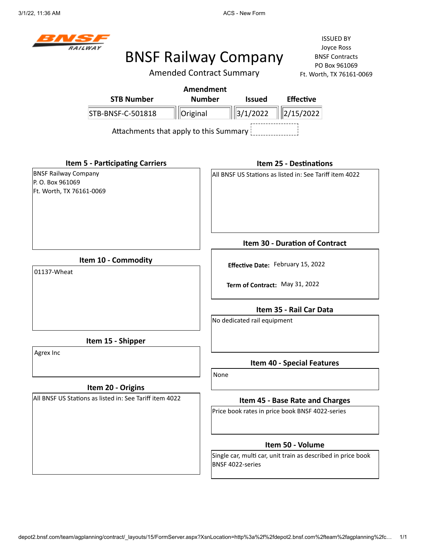# BNSF Railway Company

Amended Contract Summary

|                                                                            |                                                                              | <b>Amendment</b><br><b>Number</b> |      | <b>Issued</b>                  | <b>Effective</b>                                                                   |  |
|----------------------------------------------------------------------------|------------------------------------------------------------------------------|-----------------------------------|------|--------------------------------|------------------------------------------------------------------------------------|--|
|                                                                            | <b>STB Number</b>                                                            |                                   |      |                                |                                                                                    |  |
|                                                                            | STB-BNSF-C-501818                                                            | Original                          |      | 3/1/2022                       | 2/15/2022                                                                          |  |
|                                                                            | Attachments that apply to this Summary                                       |                                   |      |                                |                                                                                    |  |
|                                                                            | <b>Item 5 - Participating Carriers</b>                                       |                                   |      |                                | <b>Item 25 - Destinations</b>                                                      |  |
| <b>BNSF Railway Company</b><br>P.O. Box 961069<br>Ft. Worth, TX 76161-0069 |                                                                              |                                   |      |                                | All BNSF US Stations as listed in: See Tariff item 4022                            |  |
|                                                                            |                                                                              |                                   |      |                                | <b>Item 30 - Duration of Contract</b>                                              |  |
| Item 10 - Commodity<br>01137-Wheat                                         |                                                                              |                                   |      |                                | Effective Date: February 15, 2022                                                  |  |
|                                                                            |                                                                              |                                   |      | Term of Contract: May 31, 2022 |                                                                                    |  |
|                                                                            |                                                                              |                                   |      |                                | Item 35 - Rail Car Data                                                            |  |
|                                                                            |                                                                              |                                   |      | No dedicated rail equipment    |                                                                                    |  |
|                                                                            | Item 15 - Shipper                                                            |                                   |      |                                |                                                                                    |  |
| Agrex Inc                                                                  |                                                                              |                                   |      |                                | <b>Item 40 - Special Features</b>                                                  |  |
|                                                                            |                                                                              |                                   | None |                                |                                                                                    |  |
|                                                                            | Item 20 - Origins<br>All BNSF US Stations as listed in: See Tariff item 4022 |                                   |      |                                |                                                                                    |  |
|                                                                            |                                                                              |                                   |      |                                | Item 45 - Base Rate and Charges<br>Price book rates in price book BNSF 4022-series |  |
|                                                                            |                                                                              |                                   |      |                                |                                                                                    |  |
|                                                                            |                                                                              |                                   |      |                                | Item 50 - Volume                                                                   |  |
|                                                                            |                                                                              |                                   |      | BNSF 4022-series               | Single car, multi car, unit train as described in price book                       |  |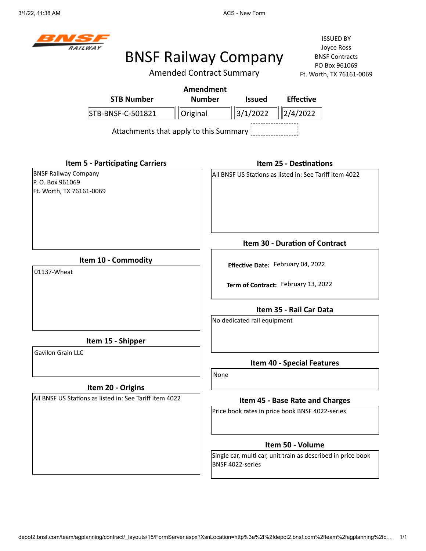

Amended Contract Summary

|                                                                            |                                                         | <b>Amendment</b> |      |                             |                                                              |  |
|----------------------------------------------------------------------------|---------------------------------------------------------|------------------|------|-----------------------------|--------------------------------------------------------------|--|
|                                                                            | <b>STB Number</b>                                       | <b>Number</b>    |      | <b>Issued</b>               | <b>Effective</b>                                             |  |
|                                                                            | STB-BNSF-C-501821                                       | Original         |      | 3/1/2022                    | 2/4/2022                                                     |  |
|                                                                            | Attachments that apply to this Summary                  |                  |      |                             |                                                              |  |
|                                                                            | <b>Item 5 - Participating Carriers</b>                  |                  |      |                             | <b>Item 25 - Destinations</b>                                |  |
| <b>BNSF Railway Company</b><br>P.O. Box 961069<br>Ft. Worth, TX 76161-0069 |                                                         |                  |      |                             | All BNSF US Stations as listed in: See Tariff item 4022      |  |
|                                                                            |                                                         |                  |      |                             | <b>Item 30 - Duration of Contract</b>                        |  |
|                                                                            | Item 10 - Commodity                                     |                  |      |                             | Effective Date: February 04, 2022                            |  |
| 01137-Wheat                                                                |                                                         |                  |      |                             |                                                              |  |
|                                                                            |                                                         |                  |      |                             | Term of Contract: February 13, 2022                          |  |
|                                                                            |                                                         |                  |      |                             | Item 35 - Rail Car Data                                      |  |
|                                                                            |                                                         |                  |      | No dedicated rail equipment |                                                              |  |
|                                                                            | Item 15 - Shipper                                       |                  |      |                             |                                                              |  |
| <b>Gavilon Grain LLC</b>                                                   |                                                         |                  |      |                             | <b>Item 40 - Special Features</b>                            |  |
|                                                                            |                                                         |                  | None |                             |                                                              |  |
|                                                                            | Item 20 - Origins                                       |                  |      |                             |                                                              |  |
|                                                                            | All BNSF US Stations as listed in: See Tariff item 4022 |                  |      |                             | Item 45 - Base Rate and Charges                              |  |
|                                                                            |                                                         |                  |      |                             | Price book rates in price book BNSF 4022-series              |  |
|                                                                            |                                                         |                  |      |                             | Item 50 - Volume                                             |  |
|                                                                            |                                                         |                  |      | BNSF 4022-series            | Single car, multi car, unit train as described in price book |  |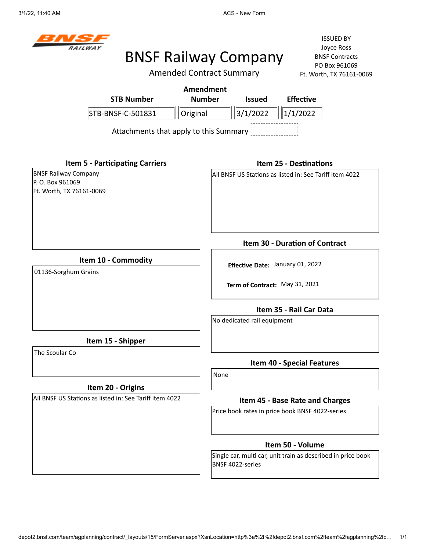

Amended Contract Summary

|                                                                             | <b>STB Number</b>                                       | <b>Amendment</b><br><b>Number</b> |      | <b>Issued</b>                     | <b>Effective</b>                                                   |
|-----------------------------------------------------------------------------|---------------------------------------------------------|-----------------------------------|------|-----------------------------------|--------------------------------------------------------------------|
|                                                                             | STB-BNSF-C-501831                                       | Original                          |      | $\left  \frac{3}{1/2022} \right $ | 1/1/2022                                                           |
|                                                                             | Attachments that apply to this Summary                  |                                   |      |                                   |                                                                    |
|                                                                             | <b>Item 5 - Participating Carriers</b>                  |                                   |      |                                   | <b>Item 25 - Destinations</b>                                      |
| <b>BNSF Railway Company</b><br>P. O. Box 961069<br>Ft. Worth, TX 76161-0069 |                                                         |                                   |      |                                   | All BNSF US Stations as listed in: See Tariff item 4022            |
|                                                                             |                                                         |                                   |      |                                   | Item 30 - Duration of Contract                                     |
| Item 10 - Commodity<br>01136-Sorghum Grains                                 |                                                         |                                   |      |                                   | Effective Date: January 01, 2022<br>Term of Contract: May 31, 2021 |
|                                                                             |                                                         |                                   |      | No dedicated rail equipment       | Item 35 - Rail Car Data                                            |
|                                                                             | Item 15 - Shipper                                       |                                   |      |                                   |                                                                    |
| The Scoular Co                                                              |                                                         |                                   |      |                                   | <b>Item 40 - Special Features</b>                                  |
|                                                                             | Item 20 - Origins                                       |                                   | None |                                   |                                                                    |
|                                                                             | All BNSF US Stations as listed in: See Tariff item 4022 |                                   |      |                                   | Item 45 - Base Rate and Charges                                    |
|                                                                             |                                                         |                                   |      |                                   | Price book rates in price book BNSF 4022-series                    |
|                                                                             |                                                         |                                   |      |                                   | Item 50 - Volume                                                   |
|                                                                             |                                                         |                                   |      | BNSF 4022-series                  | Single car, multi car, unit train as described in price book       |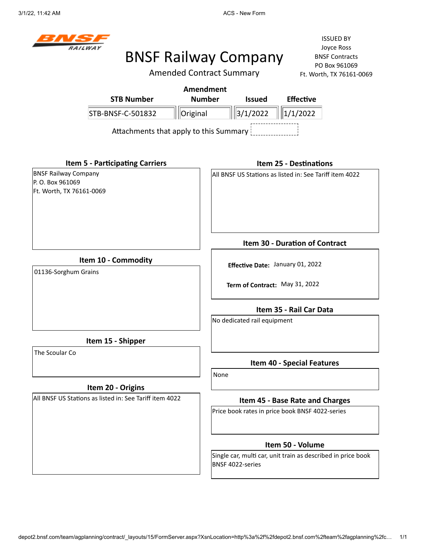

### BNSF Railway Company

Amended Contract Summary

| <b>STB Number</b>                                                          | <b>Amendment</b><br><b>Number</b>      | <b>Issued</b>               | <b>Effective</b>                                                   |
|----------------------------------------------------------------------------|----------------------------------------|-----------------------------|--------------------------------------------------------------------|
| STB-BNSF-C-501832                                                          | Original                               | 3/1/2022                    | $\ 1/1/2022\ $                                                     |
|                                                                            | Attachments that apply to this Summary |                             |                                                                    |
| <b>Item 5 - Participating Carriers</b>                                     |                                        |                             | <b>Item 25 - Destinations</b>                                      |
| <b>BNSF Railway Company</b><br>P.O. Box 961069<br>Ft. Worth, TX 76161-0069 |                                        |                             | All BNSF US Stations as listed in: See Tariff item 4022            |
|                                                                            |                                        |                             | Item 30 - Duration of Contract                                     |
| Item 10 - Commodity<br>01136-Sorghum Grains                                |                                        |                             | Effective Date: January 01, 2022<br>Term of Contract: May 31, 2022 |
|                                                                            |                                        | No dedicated rail equipment | Item 35 - Rail Car Data                                            |
| Item 15 - Shipper                                                          |                                        |                             |                                                                    |
| The Scoular Co                                                             |                                        |                             | <b>Item 40 - Special Features</b>                                  |
| Item 20 - Origins                                                          |                                        | None                        |                                                                    |
| All BNSF US Stations as listed in: See Tariff item 4022                    |                                        |                             | Item 45 - Base Rate and Charges                                    |
|                                                                            |                                        |                             | Price book rates in price book BNSF 4022-series                    |
|                                                                            |                                        |                             | Item 50 - Volume                                                   |
|                                                                            |                                        | BNSF 4022-series            | Single car, multi car, unit train as described in price book       |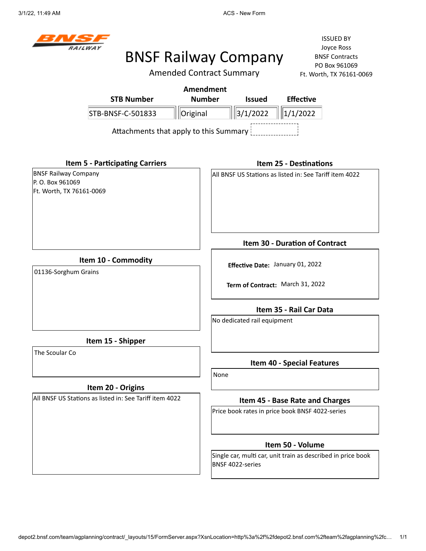

### BNSF Railway Company

Amended Contract Summary

|                                                                             |                                        | <b>Amendment</b> |                                  |                             |                                                              |  |
|-----------------------------------------------------------------------------|----------------------------------------|------------------|----------------------------------|-----------------------------|--------------------------------------------------------------|--|
|                                                                             | <b>STB Number</b>                      | <b>Number</b>    |                                  | <b>Issued</b>               | <b>Effective</b>                                             |  |
|                                                                             | STB-BNSF-C-501833                      | Original         |                                  | 3/1/2022                    | 1/1/2022                                                     |  |
|                                                                             | Attachments that apply to this Summary |                  |                                  |                             |                                                              |  |
| <b>Item 5 - Participating Carriers</b>                                      |                                        |                  |                                  |                             | <b>Item 25 - Destinations</b>                                |  |
| <b>BNSF Railway Company</b><br>P. O. Box 961069<br>Ft. Worth, TX 76161-0069 |                                        |                  |                                  |                             | All BNSF US Stations as listed in: See Tariff item 4022      |  |
|                                                                             |                                        |                  |                                  |                             | <b>Item 30 - Duration of Contract</b>                        |  |
| Item 10 - Commodity                                                         |                                        |                  |                                  |                             |                                                              |  |
| 01136-Sorghum Grains                                                        |                                        |                  | Effective Date: January 01, 2022 |                             |                                                              |  |
|                                                                             |                                        |                  |                                  |                             | Term of Contract: March 31, 2022                             |  |
|                                                                             |                                        |                  |                                  |                             | Item 35 - Rail Car Data                                      |  |
|                                                                             |                                        |                  |                                  | No dedicated rail equipment |                                                              |  |
| Item 15 - Shipper                                                           |                                        |                  |                                  |                             |                                                              |  |
| The Scoular Co                                                              |                                        |                  |                                  |                             | <b>Item 40 - Special Features</b>                            |  |
|                                                                             |                                        |                  | None                             |                             |                                                              |  |
| Item 20 - Origins                                                           |                                        |                  |                                  |                             |                                                              |  |
| All BNSF US Stations as listed in: See Tariff item 4022                     |                                        |                  |                                  |                             | Item 45 - Base Rate and Charges                              |  |
|                                                                             |                                        |                  |                                  |                             | Price book rates in price book BNSF 4022-series              |  |
|                                                                             |                                        |                  |                                  |                             | Item 50 - Volume                                             |  |
|                                                                             |                                        |                  | BNSF 4022-series                 |                             | Single car, multi car, unit train as described in price book |  |